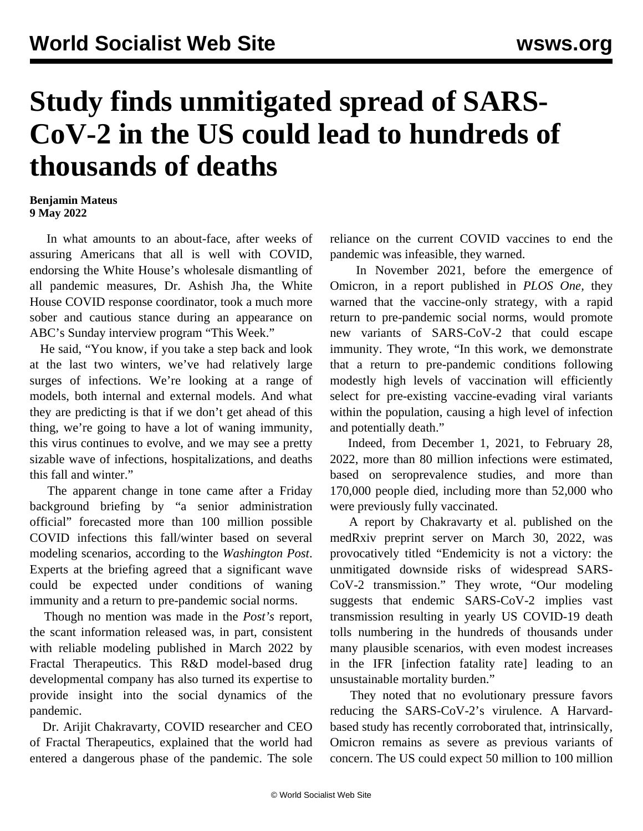## **Study finds unmitigated spread of SARS-CoV-2 in the US could lead to hundreds of thousands of deaths**

## **Benjamin Mateus 9 May 2022**

 In what amounts to an about-face, after weeks of assuring Americans that all is well with COVID, endorsing the White House's wholesale dismantling of all pandemic measures, Dr. Ashish Jha, the White House COVID response coordinator, took a much more sober and cautious stance during an appearance on ABC's Sunday interview program "This Week."

 He said, "You know, if you take a step back and look at the last two winters, we've had relatively large surges of infections. We're looking at a range of models, both internal and external models. And what they are predicting is that if we don't get ahead of this thing, we're going to have a lot of waning immunity, this virus continues to evolve, and we may see a pretty sizable wave of infections, hospitalizations, and deaths this fall and winter."

 The apparent change in tone came after a Friday background briefing by "a senior administration official" forecasted more than 100 million possible COVID infections this fall/winter based on several modeling scenarios, according to the *Washington Post*. Experts at the briefing agreed that a significant wave could be expected under conditions of waning immunity and a return to pre-pandemic social norms.

 Though no mention was made in the *Post's* report, the scant information released was, in part, consistent with reliable modeling published in March 2022 by Fractal Therapeutics. This R&D model-based drug developmental company has also turned its expertise to provide insight into the social dynamics of the pandemic.

 Dr. Arijit Chakravarty, COVID researcher and CEO of Fractal Therapeutics, explained that the world had entered a dangerous phase of the pandemic. The sole

reliance on the current COVID vaccines to end the pandemic was infeasible, they warned.

 In November 2021, before the emergence of Omicron, in a [report](https://journals.plos.org/plosone/article?id=10.1371/journal.pone.0258997) published in *PLOS One,* they warned that the vaccine-only strategy, with a rapid return to pre-pandemic social norms, would promote new variants of SARS-CoV-2 that could escape immunity. They wrote, "In this work, we demonstrate that a return to pre-pandemic conditions following modestly high levels of vaccination will efficiently select for pre-existing vaccine-evading viral variants within the population, causing a high level of infection and potentially death."

 Indeed, from December 1, 2021, to February 28, 2022, more than 80 million infections were estimated, based on seroprevalence studies, and more than 170,000 people died, including more than 52,000 who were previously fully vaccinated.

 A [report](https://www.medrxiv.org/content/10.1101/2022.03.29.22273146v1) by Chakravarty et al. published on the medRxiv preprint server on March 30, 2022, was provocatively titled "Endemicity is not a victory: the unmitigated downside risks of widespread SARS-CoV-2 transmission." They wrote, "Our modeling suggests that endemic SARS-CoV-2 implies vast transmission resulting in yearly US COVID-19 death tolls numbering in the hundreds of thousands under many plausible scenarios, with even modest increases in the IFR [infection fatality rate] leading to an unsustainable mortality burden."

 They noted that no evolutionary pressure favors reducing the SARS-CoV-2's virulence. A Harvardbased study has recently corroborated that, intrinsically, Omicron remains as severe as previous variants of concern. The US could expect 50 million to 100 million